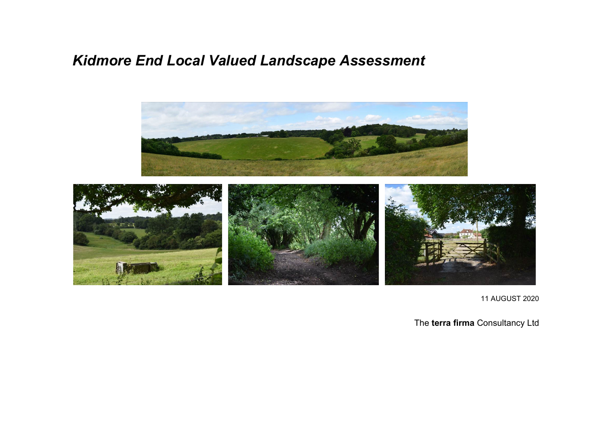# *Kidmore End Local Valued Landscape Assessment*



11 AUGUST 2020

The **terra firma** Consultancy Ltd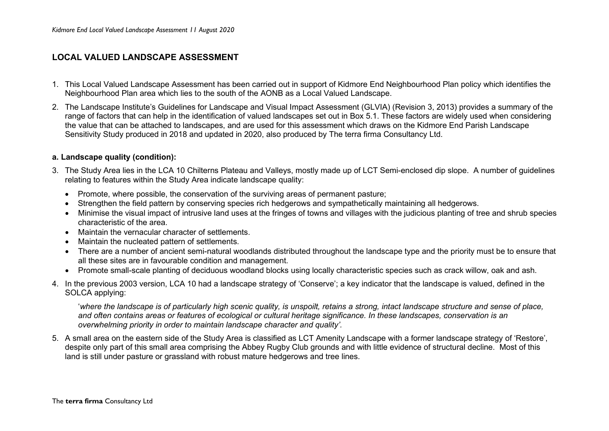# **LOCAL VALUED LANDSCAPE ASSESSMENT**

- 1. This Local Valued Landscape Assessment has been carried out in support of Kidmore End Neighbourhood Plan policy which identifies the Neighbourhood Plan area which lies to the south of the AONB as a Local Valued Landscape.
- 2. The Landscape Institute's Guidelines for Landscape and Visual Impact Assessment (GLVIA) (Revision 3, 2013) provides a summary of the range of factors that can help in the identification of valued landscapes set out in Box 5.1. These factors are widely used when considering the value that can be attached to landscapes, and are used for this assessment which draws on the Kidmore End Parish Landscape Sensitivity Study produced in 2018 and updated in 2020, also produced by The terra firma Consultancy Ltd.

#### **a. Landscape quality (condition):**

- 3. The Study Area lies in the LCA 10 Chilterns Plateau and Valleys, mostly made up of LCT Semi-enclosed dip slope. A number of guidelines relating to features within the Study Area indicate landscape quality:
	- Promote, where possible, the conservation of the surviving areas of permanent pasture;
	- Strengthen the field pattern by conserving species rich hedgerows and sympathetically maintaining all hedgerows.
	- Minimise the visual impact of intrusive land uses at the fringes of towns and villages with the judicious planting of tree and shrub species characteristic of the area.
	- Maintain the vernacular character of settlements.
	- Maintain the nucleated pattern of settlements.
	- There are a number of ancient semi-natural woodlands distributed throughout the landscape type and the priority must be to ensure that all these sites are in favourable condition and management.
	- Promote small-scale planting of deciduous woodland blocks using locally characteristic species such as crack willow, oak and ash.
- 4. In the previous 2003 version, LCA 10 had a landscape strategy of 'Conserve'; a key indicator that the landscape is valued, defined in the SOLCA applying:

'*where the landscape is of particularly high scenic quality, is unspoilt, retains a strong, intact landscape structure and sense of place, and often contains areas or features of ecological or cultural heritage significance. In these landscapes, conservation is an overwhelming priority in order to maintain landscape character and quality'.*

5. A small area on the eastern side of the Study Area is classified as LCT Amenity Landscape with a former landscape strategy of 'Restore', despite only part of this small area comprising the Abbey Rugby Club grounds and with little evidence of structural decline. Most of this land is still under pasture or grassland with robust mature hedgerows and tree lines.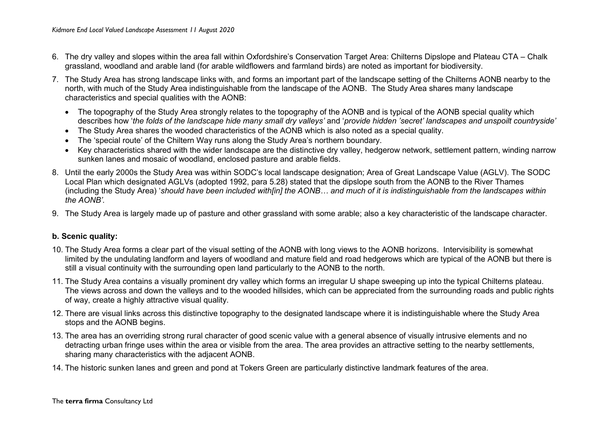- 6. The dry valley and slopes within the area fall within Oxfordshire's Conservation Target Area: Chilterns Dipslope and Plateau CTA Chalk grassland, woodland and arable land (for arable wildflowers and farmland birds) are noted as important for biodiversity.
- 7. The Study Area has strong landscape links with, and forms an important part of the landscape setting of the Chilterns AONB nearby to the north, with much of the Study Area indistinguishable from the landscape of the AONB. The Study Area shares many landscape characteristics and special qualities with the AONB:
	- The topography of the Study Area strongly relates to the topography of the AONB and is typical of the AONB special quality which describes how '*the folds of the landscape hide many small dry valleys'* and '*provide hidden 'secret' landscapes and unspoilt countryside'*
	- The Study Area shares the wooded characteristics of the AONB which is also noted as a special quality.
	- The 'special route' of the Chiltern Way runs along the Study Area's northern boundary.
	- Key characteristics shared with the wider landscape are the distinctive dry valley, hedgerow network, settlement pattern, winding narrow sunken lanes and mosaic of woodland, enclosed pasture and arable fields.
- 8. Until the early 2000s the Study Area was within SODC's local landscape designation; Area of Great Landscape Value (AGLV). The SODC Local Plan which designated AGLVs (adopted 1992, para 5.28) stated that the dipslope south from the AONB to the River Thames (including the Study Area) '*should have been included with[in] the AONB… and much of it is indistinguishable from the landscapes within the AONB'.*
- 9. The Study Area is largely made up of pasture and other grassland with some arable; also a key characteristic of the landscape character.

# **b. Scenic quality:**

- 10. The Study Area forms a clear part of the visual setting of the AONB with long views to the AONB horizons. Intervisibility is somewhat limited by the undulating landform and layers of woodland and mature field and road hedgerows which are typical of the AONB but there is still a visual continuity with the surrounding open land particularly to the AONB to the north.
- 11. The Study Area contains a visually prominent dry valley which forms an irregular U shape sweeping up into the typical Chilterns plateau. The views across and down the valleys and to the wooded hillsides, which can be appreciated from the surrounding roads and public rights of way, create a highly attractive visual quality.
- 12. There are visual links across this distinctive topography to the designated landscape where it is indistinguishable where the Study Area stops and the AONB begins.
- 13. The area has an overriding strong rural character of good scenic value with a general absence of visually intrusive elements and no detracting urban fringe uses within the area or visible from the area. The area provides an attractive setting to the nearby settlements, sharing many characteristics with the adjacent AONB.
- 14. The historic sunken lanes and green and pond at Tokers Green are particularly distinctive landmark features of the area.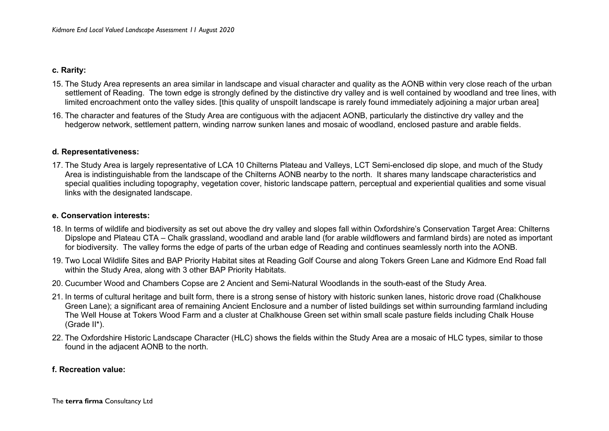#### **c. Rarity:**

- 15. The Study Area represents an area similar in landscape and visual character and quality as the AONB within very close reach of the urban settlement of Reading. The town edge is strongly defined by the distinctive dry valley and is well contained by woodland and tree lines, with limited encroachment onto the valley sides. [this quality of unspoilt landscape is rarely found immediately adjoining a major urban area]
- 16. The character and features of the Study Area are contiguous with the adjacent AONB, particularly the distinctive dry valley and the hedgerow network, settlement pattern, winding narrow sunken lanes and mosaic of woodland, enclosed pasture and arable fields.

#### **d. Representativeness:**

17. The Study Area is largely representative of LCA 10 Chilterns Plateau and Valleys, LCT Semi-enclosed dip slope, and much of the Study Area is indistinguishable from the landscape of the Chilterns AONB nearby to the north. It shares many landscape characteristics and special qualities including topography, vegetation cover, historic landscape pattern, perceptual and experiential qualities and some visual links with the designated landscape.

#### **e. Conservation interests:**

- 18. In terms of wildlife and biodiversity as set out above the dry valley and slopes fall within Oxfordshire's Conservation Target Area: Chilterns Dipslope and Plateau CTA – Chalk grassland, woodland and arable land (for arable wildflowers and farmland birds) are noted as important for biodiversity. The valley forms the edge of parts of the urban edge of Reading and continues seamlessly north into the AONB.
- 19. Two Local Wildlife Sites and BAP Priority Habitat sites at Reading Golf Course and along Tokers Green Lane and Kidmore End Road fall within the Study Area, along with 3 other BAP Priority Habitats.
- 20. Cucumber Wood and Chambers Copse are 2 Ancient and Semi-Natural Woodlands in the south-east of the Study Area.
- 21. In terms of cultural heritage and built form, there is a strong sense of history with historic sunken lanes, historic drove road (Chalkhouse Green Lane); a significant area of remaining Ancient Enclosure and a number of listed buildings set within surrounding farmland including The Well House at Tokers Wood Farm and a cluster at Chalkhouse Green set within small scale pasture fields including Chalk House (Grade II\*).
- 22. The Oxfordshire Historic Landscape Character (HLC) shows the fields within the Study Area are a mosaic of HLC types, similar to those found in the adjacent AONB to the north.

## **f. Recreation value:**